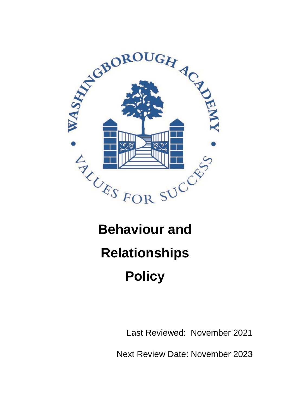

# **Behaviour and Relationships Policy**

Last Reviewed: November 2021

Next Review Date: November 2023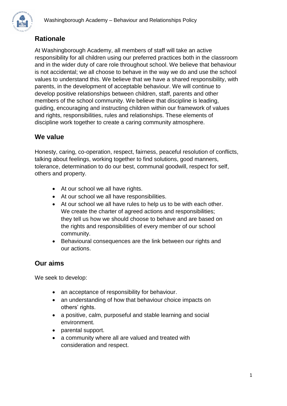

# **Rationale**

At Washingborough Academy, all members of staff will take an active responsibility for all children using our preferred practices both in the classroom and in the wider duty of care role throughout school. We believe that behaviour is not accidental; we all choose to behave in the way we do and use the school values to understand this. We believe that we have a shared responsibility, with parents, in the development of acceptable behaviour. We will continue to develop positive relationships between children, staff, parents and other members of the school community. We believe that discipline is leading, guiding, encouraging and instructing children within our framework of values and rights, responsibilities, rules and relationships. These elements of discipline work together to create a caring community atmosphere.

## **We value**

Honesty, caring, co-operation, respect, fairness, peaceful resolution of conflicts, talking about feelings, working together to find solutions, good manners, tolerance, determination to do our best, communal goodwill, respect for self, others and property.

- At our school we all have rights.
- At our school we all have responsibilities.
- At our school we all have rules to help us to be with each other. We create the charter of agreed actions and responsibilities; they tell us how we should choose to behave and are based on the rights and responsibilities of every member of our school community.
- Behavioural consequences are the link between our rights and our actions.

# **Our aims**

We seek to develop:

- an acceptance of responsibility for behaviour.
- an understanding of how that behaviour choice impacts on others' rights.
- a positive, calm, purposeful and stable learning and social environment.
- parental support.
- a community where all are valued and treated with consideration and respect.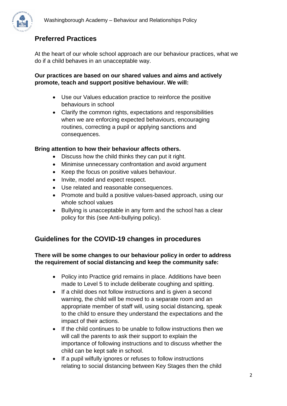

## **Preferred Practices**

At the heart of our whole school approach are our behaviour practices, what we do if a child behaves in an unacceptable way.

#### **Our practices are based on our shared values and aims and actively promote, teach and support positive behaviour. We will:**

- Use our Values education practice to reinforce the positive behaviours in school
- Clarify the common rights, expectations and responsibilities when we are enforcing expected behaviours, encouraging routines, correcting a pupil or applying sanctions and consequences.

#### **Bring attention to how their behaviour affects others.**

- Discuss how the child thinks they can put it right.
- Minimise unnecessary confrontation and avoid argument
- Keep the focus on positive values behaviour.
- Invite, model and expect respect.
- Use related and reasonable consequences.
- Promote and build a positive values-based approach, using our whole school values
- Bullying is unacceptable in any form and the school has a clear policy for this (see Anti-bullying policy).

# **Guidelines for the COVID-19 changes in procedures**

#### **There will be some changes to our behaviour policy in order to address the requirement of social distancing and keep the community safe:**

- Policy into Practice grid remains in place. Additions have been made to Level 5 to include deliberate coughing and spitting.
- If a child does not follow instructions and is given a second warning, the child will be moved to a separate room and an appropriate member of staff will, using social distancing, speak to the child to ensure they understand the expectations and the impact of their actions.
- If the child continues to be unable to follow instructions then we will call the parents to ask their support to explain the importance of following instructions and to discuss whether the child can be kept safe in school.
- If a pupil wilfully ignores or refuses to follow instructions relating to social distancing between Key Stages then the child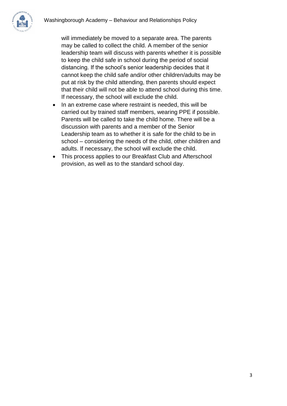

will immediately be moved to a separate area. The parents may be called to collect the child. A member of the senior leadership team will discuss with parents whether it is possible to keep the child safe in school during the period of social distancing. If the school's senior leadership decides that it cannot keep the child safe and/or other children/adults may be put at risk by the child attending, then parents should expect that their child will not be able to attend school during this time. If necessary, the school will exclude the child.

- In an extreme case where restraint is needed, this will be carried out by trained staff members, wearing PPE if possible. Parents will be called to take the child home. There will be a discussion with parents and a member of the Senior Leadership team as to whether it is safe for the child to be in school – considering the needs of the child, other children and adults. If necessary, the school will exclude the child.
- This process applies to our Breakfast Club and Afterschool provision, as well as to the standard school day.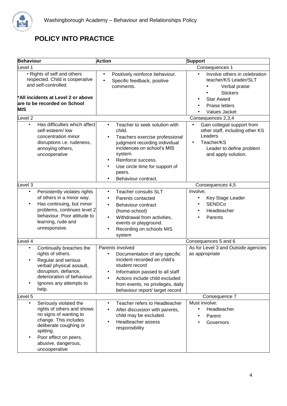

# **POLICY INTO PRACTICE**

| <b>Behaviour</b>                                                                                                                                                           |                                                                                                                                                                                                                 | <b>Action</b><br><b>Support</b>                                                                                                                                                                                                                                                    |                                                                                                                                                                      |  |
|----------------------------------------------------------------------------------------------------------------------------------------------------------------------------|-----------------------------------------------------------------------------------------------------------------------------------------------------------------------------------------------------------------|------------------------------------------------------------------------------------------------------------------------------------------------------------------------------------------------------------------------------------------------------------------------------------|----------------------------------------------------------------------------------------------------------------------------------------------------------------------|--|
| Level 1                                                                                                                                                                    |                                                                                                                                                                                                                 |                                                                                                                                                                                                                                                                                    | Consequences 1                                                                                                                                                       |  |
| • Rights of self and others<br>respected. Child is cooperative<br>and self-controlled.<br>*All incidents at Level 2 or above<br>are to be recorded on School<br><b>MIS</b> |                                                                                                                                                                                                                 | Positively reinforce behaviour.<br>$\bullet$<br>Specific feedback, positive<br>comments.                                                                                                                                                                                           | Involve others in celebration<br>teacher/KS Leader/SLT<br>Verbal praise<br><b>Stickers</b><br><b>Star Award</b><br><b>Praise letters</b><br>Values Jacket            |  |
| Level <sub>2</sub>                                                                                                                                                         |                                                                                                                                                                                                                 |                                                                                                                                                                                                                                                                                    | Consequences 2,3,4                                                                                                                                                   |  |
| $\bullet$                                                                                                                                                                  | Has difficulties which affect<br>self-esteem/low<br>concentration minor<br>disruptions i.e. rudeness,<br>annoying others,<br>uncooperative                                                                      | Teacher to seek solution with<br>$\bullet$<br>child.<br>Teachers exercise professional<br>$\bullet$<br>judgment recording individual<br>incidences on school's MIS<br>system<br>Reinforce success.<br>Use circle time for support of<br>$\bullet$<br>peers.<br>Behaviour contract. | Gain collegial support from<br>$\bullet$<br>other staff, including other KS<br>Leaders<br>Teacher/KS<br>$\bullet$<br>Leader to define problem<br>and apply solution. |  |
| Level 3                                                                                                                                                                    |                                                                                                                                                                                                                 | Consequences 4,5                                                                                                                                                                                                                                                                   |                                                                                                                                                                      |  |
| $\bullet$<br>$\bullet$                                                                                                                                                     | Persistently violates rights<br>of others in a minor way.<br>Has continuing, but minor<br>problems, continues level 2<br>behaviour. Poor attitude to<br>learning, rude and<br>unresponsive.                     | <b>Teacher consults SLT</b><br>$\bullet$<br>Parents contacted<br>$\bullet$<br>Behaviour contract<br>$\bullet$<br>(home-school)<br>Withdrawal from activities,<br>$\bullet$<br>events or playground.<br>Recording on schools MIS<br>$\bullet$<br>system                             | Involve;<br>Key Stage Leader<br><b>SENDCo</b><br>Headteacher<br>Parents                                                                                              |  |
| Level 4<br>Consequences 5 and 6                                                                                                                                            |                                                                                                                                                                                                                 |                                                                                                                                                                                                                                                                                    |                                                                                                                                                                      |  |
| $\bullet$                                                                                                                                                                  | Continually breaches the<br>rights of others.<br>Regular and serious<br>verbal/ physical assault,<br>disruption, defiance,<br>deterioration of behaviour.<br>Ignores any attempts to<br>help.                   | Parents involved<br>Documentation of any specific<br>٠<br>incident recorded on child's<br>student record<br>Information passed to all staff<br>Actions include child excluded<br>from events, no privileges, daily<br>behaviour report/ target record                              | As for Level 3 and Outside agencies<br>as appropriate                                                                                                                |  |
| Level 5                                                                                                                                                                    |                                                                                                                                                                                                                 |                                                                                                                                                                                                                                                                                    | Consequence 7                                                                                                                                                        |  |
| ٠                                                                                                                                                                          | Seriously violated the<br>rights of others and shows<br>no signs of wanting to<br>change. This includes<br>deliberate coughing or<br>spitting.<br>Poor effect on peers,<br>abusive, dangerous,<br>uncooperative | Teacher refers to Headteacher<br>٠<br>After discussion with parents,<br>child may be excluded.<br>Headteacher assess<br>responsibility                                                                                                                                             | Must involve:<br>Headteacher<br>$\bullet$<br>Parent<br>Governors                                                                                                     |  |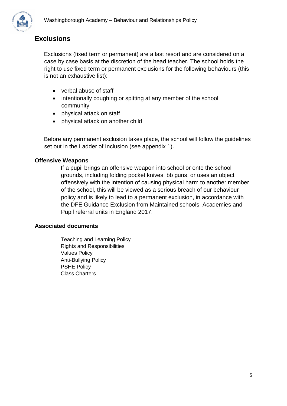

### **Exclusions**

Exclusions (fixed term or permanent) are a last resort and are considered on a case by case basis at the discretion of the head teacher. The school holds the right to use fixed term or permanent exclusions for the following behaviours (this is not an exhaustive list):

- verbal abuse of staff
- intentionally coughing or spitting at any member of the school community
- physical attack on staff
- physical attack on another child

Before any permanent exclusion takes place, the school will follow the guidelines set out in the Ladder of Inclusion (see appendix 1).

#### **Offensive Weapons**

If a pupil brings an offensive weapon into school or onto the school grounds, including folding pocket knives, bb guns, or uses an object offensively with the intention of causing physical harm to another member of the school, this will be viewed as a serious breach of our behaviour policy and is likely to lead to a permanent exclusion, in accordance with the DFE Guidance Exclusion from Maintained schools, Academies and Pupil referral units in England 2017.

#### **Associated documents**

Teaching and Learning Policy Rights and Responsibilities Values Policy Anti-Bullying Policy PSHE Policy Class Charters